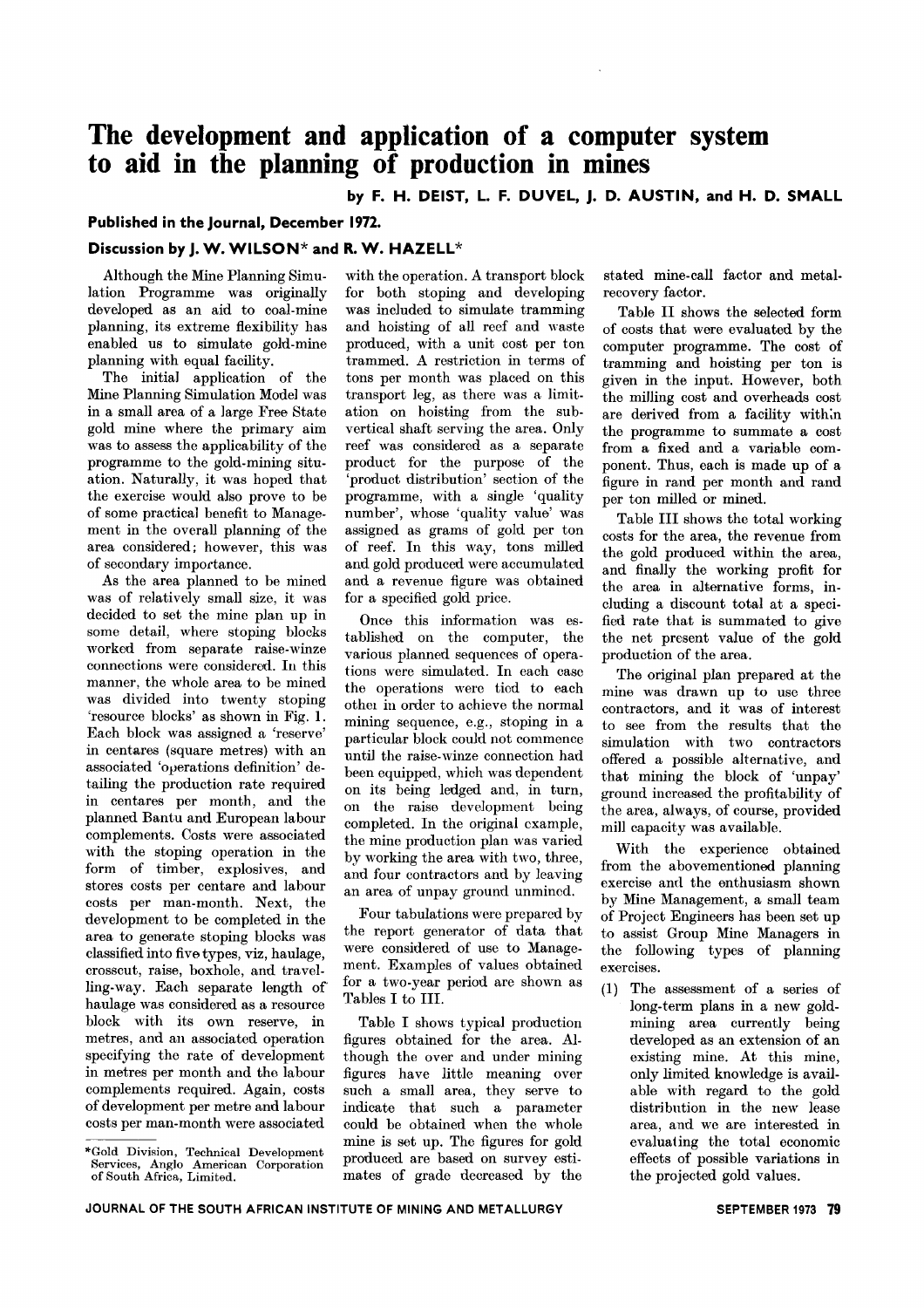# **The development and application of a computer system to aid in the planning of production in mines**

**by F. H. DEIST, L. F. DUVEL, J. D. AUSTIN, and H. D. SMALL**

## **Published in the Journal, December 1972.**

# **Discussion by J. W. WILSON\* and R. W. HAZELL\***

Although the Mine Planning Simulation Programme was originally developed as an aid to coal-mine planning, its extreme flexibility has enabled us to simulate gold-mine planning with equal facility.

The initial application of the Mine Planning Simulation Model was in a small area of a large Free State gold mine where the primary aim was to assess the applicability of the programme to the gold-mining situation. Naturally, it was hoped that the exercise would also prove to be of some practical benefit to Management in the overall planning of the area considered; however, this was of secondary importance.

As the area planned to be mincd was of relatively small size, it was decided to set the mine plan up in some detail, where stoping blocks worked from separate raise-winze connections were considered. In this manner, the whole area to be mined was divided into twenty stoping 'resource blocks' as shown in Fig. 1. Each block was assigned a 'reserve' in centares (square metres) with an associated 'operations definition' detailing the production rate required in centares per month, and the planned Bantu and European labour complements. Costs were associated with the stoping operation in the form of timber, explosives, and stores costs per centare and labour costs per man-month. Next, the development to be completed in the area to generate stoping blocks was classified into five types, viz, haulage, crosscut, raise, boxhole, and travelling-way. Each separate length of haulage was considered as a resource block with its own reserve, in metres, and an associated operation specifying the rate of development in metres per month and the labour complements required. Again, costs of development per metre and labour costs per man-month were associated

with the operation. A transport block for both stoping and developing was included to simulate tramming and hoisting of all reef and waste produced, with a unit cost per ton trammed. A restriction in terms of tons per month was placed on this transport leg, as there was a limitation on hoisting from the subvertical shaft serving the area. Only reef was considered as a separate product for the purpose of the 'product distribution' section of the programme, with a single 'quality number', whose 'quality value' was assigned as grams of gold per ton of reef. In this way, tons milled and gold produced were accumulated and a revenue figure was obtained for a specified gold price.

Once this information was established on the computer, the various planned sequences of operations were simulated. In each case the operations were tied to each other in order to achieve the normal mining sequence, e.g., stoping in a particular block could not commence until the raise-winze connection had been equipped, which was dependent on its being ledged and, in turn, on the raise development being completed. In the original example, the mine production plan was varied by working the area with two, three, and four contractors and by leaving an area of unpay ground unmincd.

Four tabulations were prepared by the report generator of data that were considered of use to Management. Examples of values obtained for a two-year period are shown as Tables I to Ill.

Table I shows typical production figures obtained for the area. Although the over and under mining figures have little meaning over such a small area, they serve to indicate that such a parameter could be obtained when the whole mine is set up. The figures for gold produced are based on survey estimates of grade decreased by the stated mine-call factor and metalrecovery factor.

Table Il shows the selected form of costs that were evaluated by the computer programme. The cost of tramming and hoisting per ton is given in the input. However, both the milling cost and overheads cost are derived from a facility with:n the programme to summate a cost from a fixed and a variable component. Thus, each is made up of a figure in rand per month and rand per ton milled or mined.

Table III shows the total working costs for the area, the revenue from the gold produced within the area, and finally the working profit for the area in alternative forms, including a discount total at a specified rate that is summated to give the net present value of the gold production of the area.

The original plan prepared at the mine was drawn up to use three contractors, and it was of interest to see from the results that the simulation with two contractors offered a possible alternative, and that mining the block of 'unpay' ground increased the profitability of the area, always, of course, provided mill capacity was available.

With the experience obtained from the abovementioned planning exercise and the enthusiasm shown by Mine Management, a small team of Project Engineers has been set up to assist Group Mine Managers in the following types of planning exercises.

(1) The assessment of a series of long-term plans in a new goldmining area currently being developed as an extension of an existing mine. At this mine, only limited knowledge is available with regard to the gold distribution in the new lease area, and we are interested in evaluating the total economic effects of possible variations in the projected gold values.

<sup>\*</sup>Gold Division, Technical Development Services, Anglo American Corporation of South Africa, Limited.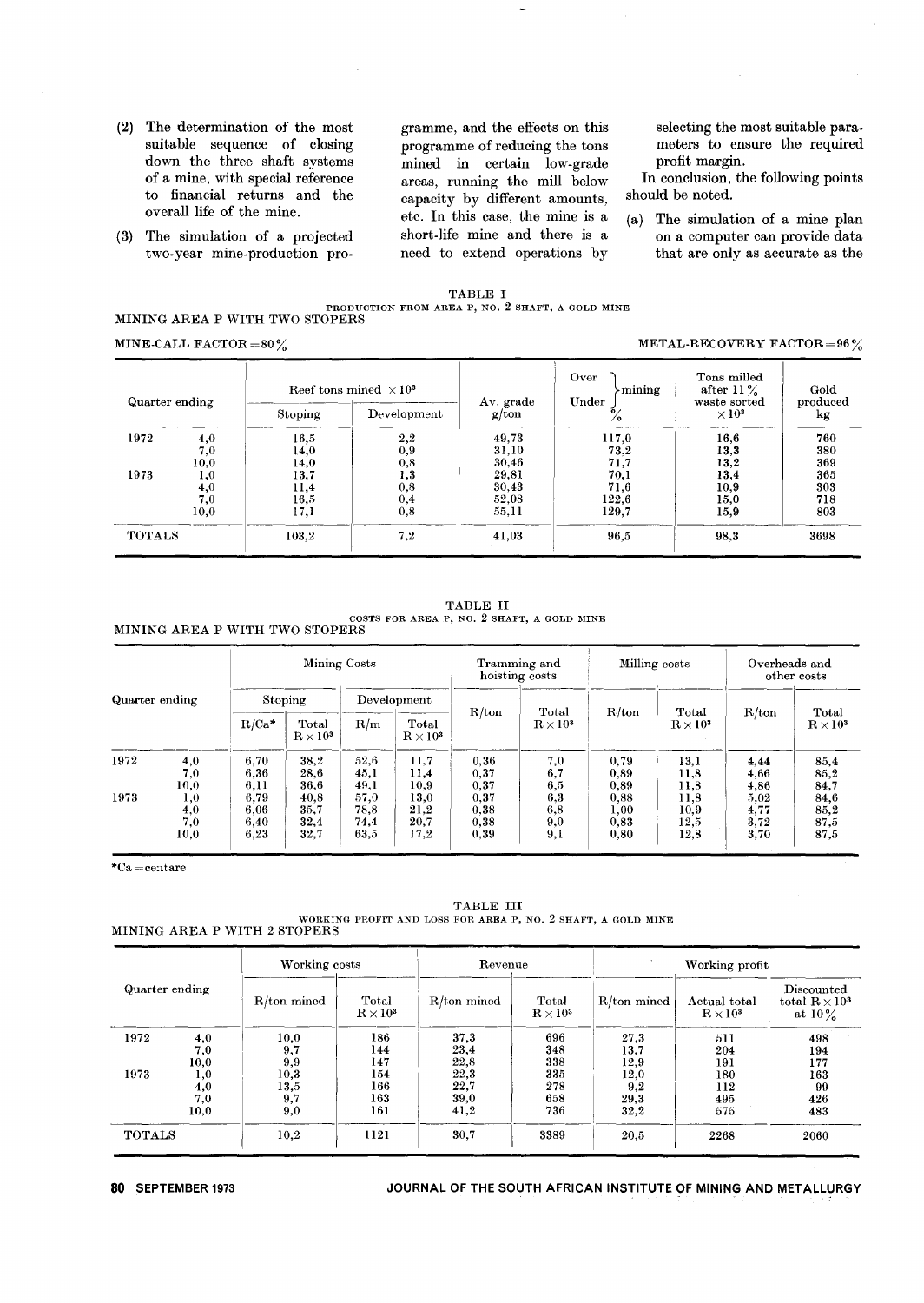(2) The determination of the most suitable sequence of closing down the three shaft systems of a mine, with special reference to financial returns and the overall life of the mine.

(3) The simulation of a projected two- year mine-production pro-

gramme, and the effects on this programme of reducing the tons mined in certain low-grade areas, running the mill below capacity by different amounts, etc. In this case, the mine is a short-life mine and there is a need to extend operations by

selecting the most suitable parameters to ensure the required profit margin.

In conclusion, the following points should be noted.

(a) The simulation of a mine plan on a computer can provide data that are only as accurate as the

#### TABLE I PRODUCTION FROM AREA P, NO. 2 SHAFT, A GOLD MINE MINING AREA P WITH TWO STOPERS

MINE-CALL FACTOR=80%  $\text{META} = 80\%$ 

| Quarter ending |      |         | Reef tons mined $\times 10^3$ | Av. grade | Over<br>mining<br>Under | Tons milled<br>after $11\%$<br>waste sorted | Gold<br>produced |
|----------------|------|---------|-------------------------------|-----------|-------------------------|---------------------------------------------|------------------|
|                |      | Stoping | Development                   | g/ton     |                         | $\times 10^3$                               | kg               |
| 1972           | 4,0  | 16,5    | 2,2                           | 49,73     | 117,0                   | 16,6                                        | 760              |
|                | 7,0  | 14,0    | 0,9                           | 31,10     | 73,2                    | 13,3                                        | 380              |
|                | 10,0 | 14,0    | $_{0,8}$                      | 30,46     | 71,7                    | 13,2                                        | 369              |
| 1973           | 1,0  | 13,7    | 1,3                           | 29,81     | 70,1                    | 13,4                                        | 365              |
|                | 4,0  | 11,4    | 0,8                           | 30,43     | 71,6                    | 10,9                                        | 303              |
|                | 7,0  | 16,5    | 0,4                           | 52,08     | 122,6                   | 15,0                                        | 718              |
|                | 10,0 | 17,1    | 0,8                           | 55.11     | 129,7                   | 15,9                                        | 803              |
| <b>TOTALS</b>  |      | 103.2   | 7,2                           | 41,03     | 96,5                    | 98,3                                        | 3698             |

TABLE II COSTS FOR AREA P, NO. 2 SHAFT, <sup>A</sup> GOLD MINE

MINING AREA P WITH TWO STOPERS

| Quarter ending |                           | Mining Costs                 |                              |                              |                              | Tramming and<br>hoisting costs |                              | Milling costs                |                              | Overheads and<br>other costs |                              |
|----------------|---------------------------|------------------------------|------------------------------|------------------------------|------------------------------|--------------------------------|------------------------------|------------------------------|------------------------------|------------------------------|------------------------------|
|                |                           | Stoping                      |                              | Development                  |                              |                                |                              |                              |                              |                              |                              |
|                |                           | $R/Ca*$                      | Total<br>$\rm R \times 10^3$ | R/m                          | Total<br>$R \times 10^3$     | R/ton                          | Total<br>$\rm R \times 10^3$ | R/ton                        | Total<br>$R \times 10^3$     | R/ton                        | Total<br>$\rm R \times 10^3$ |
| 1972           | 4,0<br>7,0<br>10,0        | 6,70<br>6,36<br>6,11         | 38,2<br>28,6<br>36,6         | 52,6<br>45,1<br>49,1         | 11,7<br>11,4<br>10,9         | 0,36<br>0,37<br>0,37           | 7,0<br>6,7<br>6,5            | 0.79<br>0,89<br>0,89         | 13,1<br>11,8<br>11,8         | 4,44<br>4,66<br>4,86         | 85,4<br>85,2<br>84,7         |
| 1973           | 1,0<br>4,0<br>7,0<br>10,0 | 6,79<br>6.06<br>6,40<br>6.23 | 40.8<br>35.7<br>32.4<br>32,7 | 57,0<br>78.8<br>74.4<br>63,5 | 13.0<br>21,2<br>20.7<br>17,2 | 0.37<br>0,38<br>0.38<br>0,39   | 6,3<br>6,8<br>9,0<br>9,1     | 0.88<br>1,00<br>0.83<br>0,80 | 11,8<br>10,9<br>12,5<br>12,8 | 5,02<br>4,77<br>3.72<br>3,70 | 84,6<br>85,2<br>87,5<br>87,5 |

\*Ca=ce:1tare

TABLE III WORKING PROFIT AND LOSS FOR AREA P, NO. 2 SHAFT, A GOLD MINE MINING AREA P WITH 2 STOPERS

|                |      | Working costs |                              | Revenue     |                                   | Working profit |                                     |                                                  |  |
|----------------|------|---------------|------------------------------|-------------|-----------------------------------|----------------|-------------------------------------|--------------------------------------------------|--|
| Quarter ending |      | R/ton mined   | Total<br>$\rm R \times 10^3$ | R/ton mined | Total<br>$\rm\,R\,{\times}\,10^3$ | $R/ton$ mined  | Actual total<br>$\rm R \times 10^3$ | Discounted<br>total $R \times 10^3$<br>at $10\%$ |  |
| 1972           | 4,0  | 10.0          | 186                          | 37,3        | 696                               | 27.3           | 511                                 | 498                                              |  |
|                | 7.0  | 9,7           | 144                          | 23,4        | 348                               | 13,7           | 204                                 | 194                                              |  |
|                | 10,0 | 9,9           | 147                          | 22,8        | 338                               | 12,9           | 191                                 | 177                                              |  |
| 1973           | 1,0  | 10,3          | 154                          | 22,3        | 335                               | 12,0           | 180                                 | 163                                              |  |
|                | 4,0  | 13,5          | 166                          | 22,7        | 278                               | 9,2            | 112                                 | 99                                               |  |
|                | 7,0  | 9,7           | 163                          | 39,0        | 658                               | 29.3           | 495                                 | 426                                              |  |
|                | 10.0 | 9,0           | 161                          | 41,2        | 736                               | 32,2           | 575                                 | 483                                              |  |
| <b>TOTALS</b>  |      | 10,2          | 1121                         | 30,7        | 3389                              | 20,5           | 2268                                | 2060                                             |  |

### **80** SEPTEMBER 1973 JOURNAL OF THE SOUTH AFRICAN INSTITUTE OF MINING AND METALLURGY